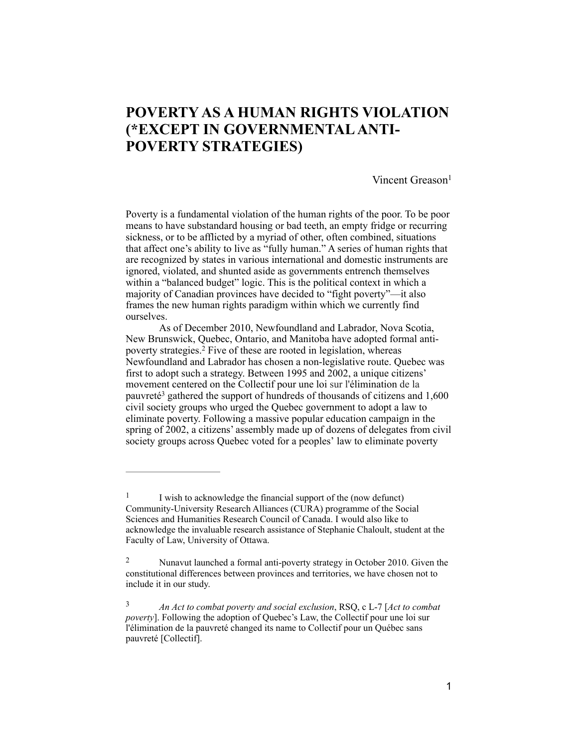# **POVERTY AS A HUMAN RIGHTS VIOLATION (\*EXCEPT IN GOVERNMENTAL ANTI-POVERTY STRATEGIES)**

Vincent Greason<sup>1</sup>

Poverty is a fundamental violation of the human rights of the poor. To be poor means to have substandard housing or bad teeth, an empty fridge or recurring sickness, or to be afflicted by a myriad of other, often combined, situations that affect one's ability to live as "fully human." A series of human rights that are recognized by states in various international and domestic instruments are ignored, violated, and shunted aside as governments entrench themselves within a "balanced budget" logic. This is the political context in which a majority of Canadian provinces have decided to "fight poverty"—it also frames the new human rights paradigm within which we currently find ourselves.

As of December 2010, Newfoundland and Labrador, Nova Scotia, New Brunswick, Quebec, Ontario, and Manitoba have adopted formal antipoverty strategies.<sup>2</sup> Five of these are rooted in legislation, whereas Newfoundland and Labrador has chosen a non-legislative route. Quebec was first to adopt such a strategy. Between 1995 and 2002, a unique citizens' movement centered on the Collectif pour une loi sur l'élimination de la pauvreté<sup>3</sup> gathered the support of hundreds of thousands of citizens and  $1,600$ civil society groups who urged the Quebec government to adopt a law to eliminate poverty. Following a massive popular education campaign in the spring of 2002, a citizens' assembly made up of dozens of delegates from civil society groups across Quebec voted for a peoples' law to eliminate poverty

 $\frac{1}{1}$  I wish to acknowledge the financial support of the (now defunct) Community-University Research Alliances (CURA) programme of the Social Sciences and Humanities Research Council of Canada. I would also like to acknowledge the invaluable research assistance of Stephanie Chaloult, student at the Faculty of Law, University of Ottawa.

<sup>&</sup>lt;sup>2</sup> Nunavut launched a formal anti-poverty strategy in October 2010. Given the constitutional differences between provinces and territories, we have chosen not to include it in our study.

*An Act to combat poverty and social exclusion*, RSQ, c L-7 [*Act to combat* <sup>3</sup> *poverty*]. Following the adoption of Quebec's Law, the Collectif pour une loi sur l'élimination de la pauvreté changed its name to Collectif pour un Québec sans pauvreté [Collectif].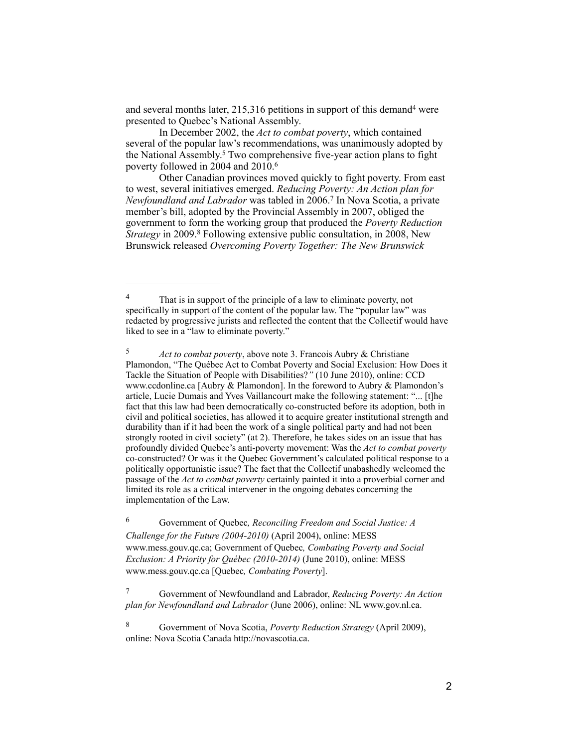and several months later,  $215,316$  petitions in support of this demand<sup>4</sup> were presented to Quebec's National Assembly.

In December 2002, the *Act to combat poverty*, which contained several of the popular law's recommendations, was unanimously adopted by the National Assembly.<sup>5</sup> Two comprehensive five-year action plans to fight poverty followed in 2004 and 2010.<sup>6</sup>

Other Canadian provinces moved quickly to fight poverty. From east to west, several initiatives emerged. *Reducing Poverty: An Action plan for Newfoundland and Labrador* was tabled in 2006.<sup>7</sup> In Nova Scotia, a private member's bill, adopted by the Provincial Assembly in 2007, obliged the government to form the working group that produced the *Poverty Reduction Strategy* in 2009.<sup>8</sup> Following extensive public consultation, in 2008, New Brunswick released *Overcoming Poverty Together: The New Brunswick* 

<sup>5</sup> *Act to combat poverty*, above note 3. Francois Aubry & Christiane Plamondon, "The Québec Act to Combat Poverty and Social Exclusion: How Does it Tackle the Situation of People with Disabilities?*"* (10 June 2010), online: CCD www.ccdonline.ca [Aubry & Plamondon]. In the foreword to Aubry & Plamondon's article, Lucie Dumais and Yves Vaillancourt make the following statement: "... [t]he fact that this law had been democratically co-constructed before its adoption, both in civil and political societies, has allowed it to acquire greater institutional strength and durability than if it had been the work of a single political party and had not been strongly rooted in civil society" (at 2). Therefore, he takes sides on an issue that has profoundly divided Quebec's anti-poverty movement: Was the *Act to combat poverty* co-constructed? Or was it the Quebec Government's calculated political response to a politically opportunistic issue? The fact that the Collectif unabashedly welcomed the passage of the *Act to combat poverty* certainly painted it into a proverbial corner and limited its role as a critical intervener in the ongoing debates concerning the implementation of the Law.

 Government of Quebec*, Reconciling Freedom and Social Justice: A* <sup>6</sup> *Challenge for the Future (2004-2010)* (April 2004), online: MESS www.mess.gouv.qc.ca; Government of Quebec*, Combating Poverty and Social Exclusion: A Priority for Québec (2010-2014)* (June 2010), online: MESS [www.mess.gouv.qc.ca](http://www.mess.gouv.qc.ca) [Quebec*, Combating Poverty*].

 Government of Newfoundland and Labrador, *Reducing Poverty: An Action* <sup>7</sup> *plan for Newfoundland and Labrador* (June 2006), online: NL www.gov.nl.ca.

 Government of Nova Scotia, *Poverty Reduction Strategy* (April 2009), 8 online: Nova Scotia Canada [http://novascotia.ca.](http://novascotia.ca/)

That is in support of the principle of a law to eliminate poverty, not 4 specifically in support of the content of the popular law. The "popular law" was redacted by progressive jurists and reflected the content that the Collectif would have liked to see in a "law to eliminate poverty."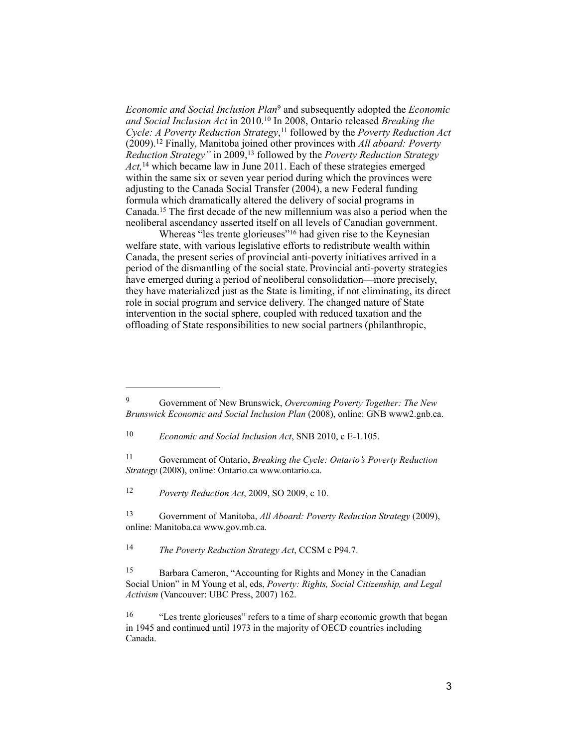*Economic and Social Inclusion Plan<sup>9</sup>* and subsequently adopted the *Economic* and Social Inclusion Act in 2010.<sup>10</sup> In 2008, Ontario released *Breaking the Cycle: A Poverty Reduction Strategy*,<sup>11</sup> followed by the *Poverty Reduction Act* (2009).<sup>12</sup> Finally, Manitoba joined other provinces with *All aboard: Poverty Reduction Strategy"* in 2009,<sup>13</sup> followed by the *Poverty Reduction Strategy*  $Act$ , <sup>14</sup> which became law in June 2011. Each of these strategies emerged within the same six or seven year period during which the provinces were adjusting to the Canada Social Transfer (2004), a new Federal funding formula which dramatically altered the delivery of social programs in Canada.<sup>15</sup> The first decade of the new millennium was also a period when the neoliberal ascendancy asserted itself on all levels of Canadian government.

Whereas "les trente glorieuses"<sup>16</sup> had given rise to the Keynesian welfare state, with various legislative efforts to redistribute wealth within Canada, the present series of provincial anti-poverty initiatives arrived in a period of the dismantling of the social state. Provincial anti-poverty strategies have emerged during a period of neoliberal consolidation—more precisely, they have materialized just as the State is limiting, if not eliminating, its direct role in social program and service delivery. The changed nature of State intervention in the social sphere, coupled with reduced taxation and the offloading of State responsibilities to new social partners (philanthropic,

Government of New Brunswick, *Overcoming Poverty Together: The New* <sup>9</sup> *Brunswick Economic and Social Inclusion Plan* (2008), online: GNB www2.gnb.ca.

<sup>&</sup>lt;sup>10</sup> *Economic and Social Inclusion Act*, SNB 2010, c E-1.105.

Government of Ontario, *Breaking the Cycle: Ontario's Poverty Reduction* <sup>11</sup> *Strategy* (2008), online: Ontario.ca [www.ontario.ca.](http://www.ontario.ca)

<sup>&</sup>lt;sup>12</sup> *Poverty Reduction Act*, 2009, SO 2009, c 10.

Government of Manitoba, *All Aboard: Poverty Reduction Strategy* (2009), 13 online: Manitoba.ca [www.gov.mb.ca](http://www.gov.mb.ca).

<sup>&</sup>lt;sup>14</sup> *The Poverty Reduction Strategy Act*, CCSM c P94.7.

<sup>&</sup>lt;sup>15</sup> Barbara Cameron, "Accounting for Rights and Money in the Canadian Social Union" in M Young et al, eds, *Poverty: Rights, Social Citizenship, and Legal Activism* (Vancouver: UBC Press, 2007) 162.

<sup>&</sup>lt;sup>16</sup> "Les trente glorieuses" refers to a time of sharp economic growth that began in 1945 and continued until 1973 in the majority of OECD countries including Canada.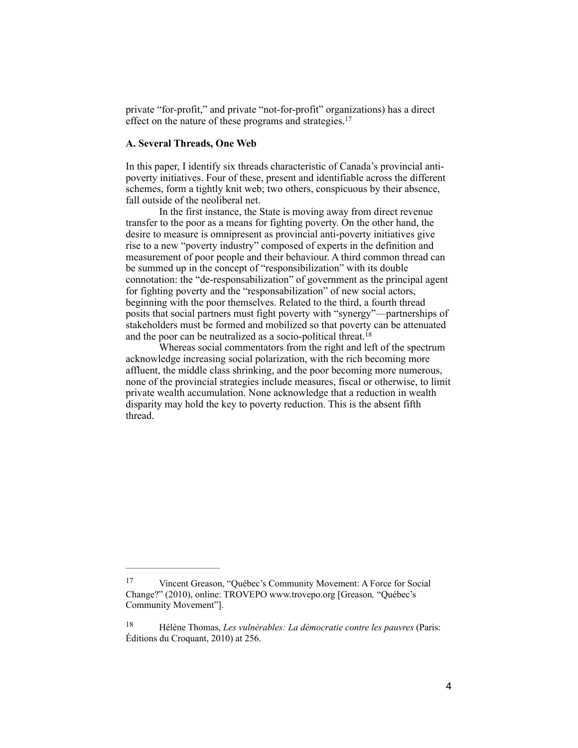private "for-profit," and private "not-for-profit" organizations) has a direct effect on the nature of these programs and strategies.<sup>17</sup>

## **A. Several Threads, One Web**

In this paper, I identify six threads characteristic of Canada's provincial antipoverty initiatives. Four of these, present and identifiable across the different schemes, form a tightly knit web; two others, conspicuous by their absence, fall outside of the neoliberal net.

In the first instance, the State is moving away from direct revenue transfer to the poor as a means for fighting poverty. On the other hand, the desire to measure is omnipresent as provincial anti-poverty initiatives give rise to a new "poverty industry" composed of experts in the definition and measurement of poor people and their behaviour. A third common thread can be summed up in the concept of "responsibilization" with its double connotation: the "de-responsabilization" of government as the principal agent for fighting poverty and the "responsabilization" of new social actors, beginning with the poor themselves. Related to the third, a fourth thread posits that social partners must fight poverty with "synergy"—partnerships of stakeholders must be formed and mobilized so that poverty can be attenuated and the poor can be neutralized as a socio-political threat. 18

Whereas social commentators from the right and left of the spectrum acknowledge increasing social polarization, with the rich becoming more affluent, the middle class shrinking, and the poor becoming more numerous, none of the provincial strategies include measures, fiscal or otherwise, to limit private wealth accumulation. None acknowledge that a reduction in wealth disparity may hold the key to poverty reduction. This is the absent fifth thread.

Vincent Greason, "Québec's Community Movement: A Force for Social 17 Change?" (2010), online: TROVEPO [www.trovepo.org](http://www.trovepo.org) [Greason*,* "Québec's Community Movement"].

Hélène Thomas, *Les vulnérables: La démocratie contre les pauvres* (Paris: 18 Éditions du Croquant, 2010) at 256.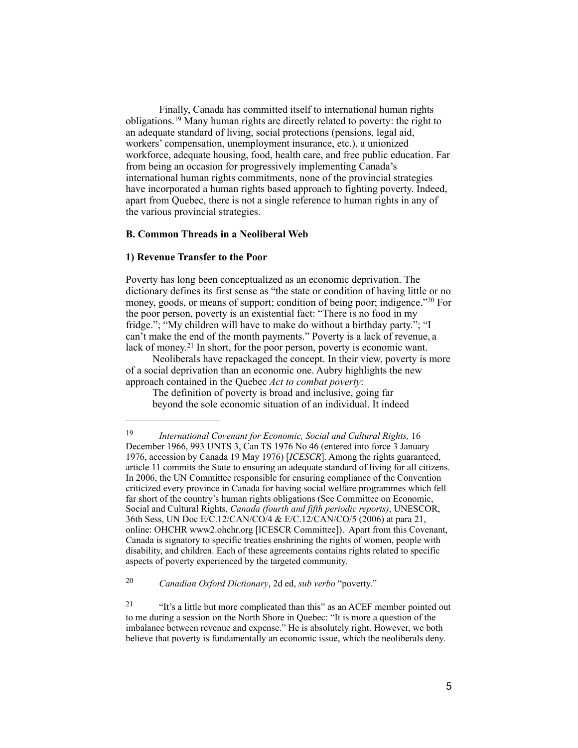Finally, Canada has committed itself to international human rights obligations.<sup>19</sup> Many human rights are directly related to poverty: the right to an adequate standard of living, social protections (pensions, legal aid, workers' compensation, unemployment insurance, etc.), a unionized workforce, adequate housing, food, health care, and free public education. Far from being an occasion for progressively implementing Canada's international human rights commitments, none of the provincial strategies have incorporated a human rights based approach to fighting poverty. Indeed, apart from Quebec, there is not a single reference to human rights in any of the various provincial strategies.

#### **B. Common Threads in a Neoliberal Web**

#### **1) Revenue Transfer to the Poor**

Poverty has long been conceptualized as an economic deprivation. The dictionary defines its first sense as "the state or condition of having little or no money, goods, or means of support; condition of being poor; indigence."<sup>20</sup> For the poor person, poverty is an existential fact: "There is no food in my fridge."; "My children will have to make do without a birthday party."; "I can't make the end of the month payments." Poverty is a lack of revenue, a lack of money.<sup>21</sup> In short, for the poor person, poverty is economic want.

Neoliberals have repackaged the concept. In their view, poverty is more of a social deprivation than an economic one. Aubry highlights the new approach contained in the Quebec *Act to combat poverty*:

The definition of poverty is broad and inclusive, going far beyond the sole economic situation of an individual. It indeed

*Canadian Oxford Dictionary*, 2d ed, *sub verbo* "poverty." <sup>20</sup>

<sup>&</sup>lt;sup>19</sup> International Covenant for Economic, Social and Cultural Rights, 16 December 1966, 993 UNTS 3, Can TS 1976 No 46 (entered into force 3 January 1976, accession by Canada 19 May 1976) [*ICESCR*]. Among the rights guaranteed, article 11 commits the State to ensuring an adequate standard of living for all citizens. In 2006, the UN Committee responsible for ensuring compliance of the Convention criticized every province in Canada for having social welfare programmes which fell far short of the country's human rights obligations (See Committee on Economic, Social and Cultural Rights, *Canada (fourth and fifth periodic reports)*, UNESCOR, 36th Sess, UN Doc E/C.12/CAN/CO/4 & E/C.12/CAN/CO/5 (2006) at para 21, online: OHCHR [www2.ohchr.org](http://www2.ohchr.org/) [ICESCR Committee]). Apart from this Covenant, Canada is signatory to specific treaties enshrining the rights of women, people with disability, and children. Each of these agreements contains rights related to specific aspects of poverty experienced by the targeted community.

 $21$  "It's a little but more complicated than this" as an ACEF member pointed out to me during a session on the North Shore in Quebec: "It is more a question of the imbalance between revenue and expense." He is absolutely right. However, we both believe that poverty is fundamentally an economic issue, which the neoliberals deny.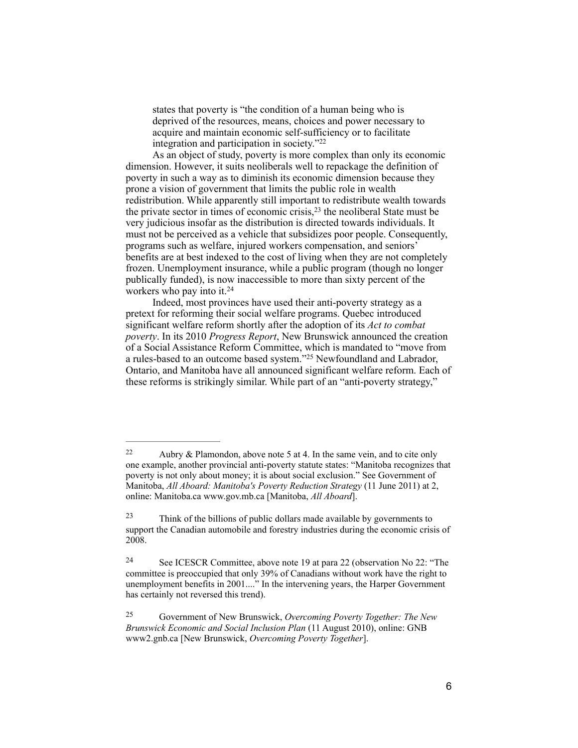states that poverty is "the condition of a human being who is deprived of the resources, means, choices and power necessary to acquire and maintain economic self-sufficiency or to facilitate integration and participation in society."22

As an object of study, poverty is more complex than only its economic dimension. However, it suits neoliberals well to repackage the definition of poverty in such a way as to diminish its economic dimension because they prone a vision of government that limits the public role in wealth redistribution. While apparently still important to redistribute wealth towards the private sector in times of economic crisis,  $2<sup>3</sup>$  the neoliberal State must be very judicious insofar as the distribution is directed towards individuals. It must not be perceived as a vehicle that subsidizes poor people. Consequently, programs such as welfare, injured workers compensation, and seniors' benefits are at best indexed to the cost of living when they are not completely frozen. Unemployment insurance, while a public program (though no longer publically funded), is now inaccessible to more than sixty percent of the workers who pay into it.24

Indeed, most provinces have used their anti-poverty strategy as a pretext for reforming their social welfare programs. Quebec introduced significant welfare reform shortly after the adoption of its *Act to combat poverty*. In its 2010 *Progress Report*, New Brunswick announced the creation of a Social Assistance Reform Committee, which is mandated to "move from a rules-based to an outcome based system.<sup>"25</sup> Newfoundland and Labrador, Ontario, and Manitoba have all announced significant welfare reform. Each of these reforms is strikingly similar. While part of an "anti-poverty strategy,"

<sup>22</sup> Aubry & Plamondon, above note 5 at 4. In the same vein, and to cite only one example, another provincial anti-poverty statute states: "Manitoba recognizes that poverty is not only about money; it is about social exclusion." See Government of Manitoba, *All Aboard: Manitoba's Poverty Reduction Strategy* (11 June 2011) at 2, online: Manitoba.ca www.gov.mb.ca [Manitoba, *All Aboard*].

 $23$  Think of the billions of public dollars made available by governments to support the Canadian automobile and forestry industries during the economic crisis of 2008.

<sup>&</sup>lt;sup>24</sup> See ICESCR Committee, above note 19 at para 22 (observation No 22: "The committee is preoccupied that only 39% of Canadians without work have the right to unemployment benefits in 2001...." In the intervening years, the Harper Government has certainly not reversed this trend).

Government of New Brunswick, *Overcoming Poverty Together: The New* <sup>25</sup> *Brunswick Economic and Social Inclusion Plan* (11 August 2010), online: GNB www2.gnb.ca [New Brunswick, *Overcoming Poverty Together*].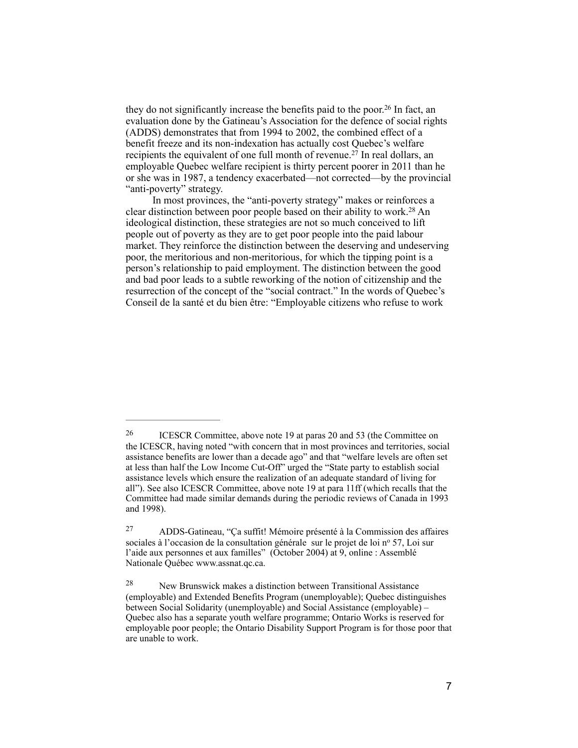they do not significantly increase the benefits paid to the poor.<sup>26</sup> In fact, an evaluation done by the Gatineau's Association for the defence of social rights (ADDS) demonstrates that from 1994 to 2002, the combined effect of a benefit freeze and its non-indexation has actually cost Quebec's welfare recipients the equivalent of one full month of revenue.<sup>27</sup> In real dollars, an employable Quebec welfare recipient is thirty percent poorer in 2011 than he or she was in 1987, a tendency exacerbated—not corrected—by the provincial "anti-poverty" strategy.

In most provinces, the "anti-poverty strategy" makes or reinforces a clear distinction between poor people based on their ability to work.<sup>28</sup> An ideological distinction, these strategies are not so much conceived to lift people out of poverty as they are to get poor people into the paid labour market. They reinforce the distinction between the deserving and undeserving poor, the meritorious and non-meritorious, for which the tipping point is a person's relationship to paid employment. The distinction between the good and bad poor leads to a subtle reworking of the notion of citizenship and the resurrection of the concept of the "social contract." In the words of Quebec's Conseil de la santé et du bien être: "Employable citizens who refuse to work

<sup>&</sup>lt;sup>26</sup> ICESCR Committee, above note 19 at paras 20 and 53 (the Committee on the ICESCR, having noted "with concern that in most provinces and territories, social assistance benefits are lower than a decade ago" and that "welfare levels are often set at less than half the Low Income Cut-Off" urged the "State party to establish social assistance levels which ensure the realization of an adequate standard of living for all"). See also ICESCR Committee, above note 19 at para 11ff (which recalls that the Committee had made similar demands during the periodic reviews of Canada in 1993 and 1998).

ADDS-Gatineau, "Ça suffit! Mémoire présenté à la Commission des affaires 27 sociales à l'occasion de la consultation générale sur le projet de loi nº 57, Loi sur l'aide aux personnes et aux familles" (October 2004) at 9, online : Assemblé Nationale Québec www.assnat.qc.ca.

New Brunswick makes a distinction between Transitional Assistance <sup>28</sup> (employable) and Extended Benefits Program (unemployable); Quebec distinguishes between Social Solidarity (unemployable) and Social Assistance (employable) – Quebec also has a separate youth welfare programme; Ontario Works is reserved for employable poor people; the Ontario Disability Support Program is for those poor that are unable to work.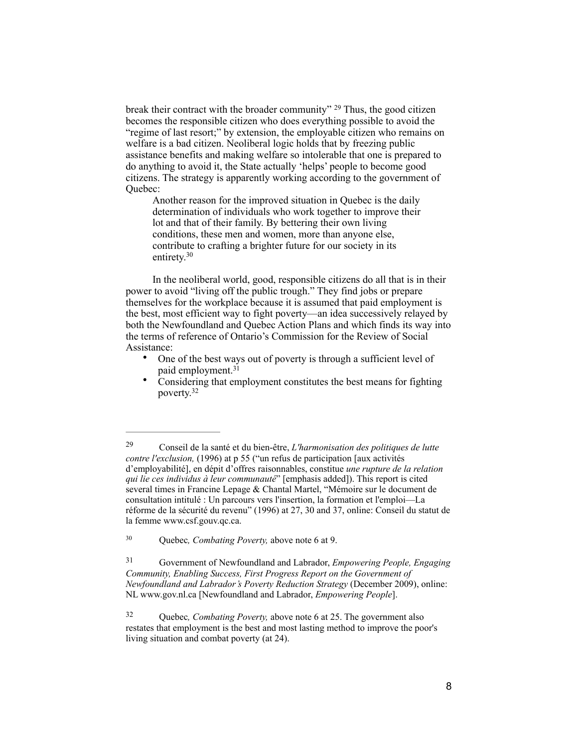break their contract with the broader community"  $29$  Thus, the good citizen becomes the responsible citizen who does everything possible to avoid the "regime of last resort;" by extension, the employable citizen who remains on welfare is a bad citizen. Neoliberal logic holds that by freezing public assistance benefits and making welfare so intolerable that one is prepared to do anything to avoid it, the State actually 'helps' people to become good citizens. The strategy is apparently working according to the government of Quebec:

Another reason for the improved situation in Quebec is the daily determination of individuals who work together to improve their lot and that of their family. By bettering their own living conditions, these men and women, more than anyone else, contribute to crafting a brighter future for our society in its entirety.<sup>30</sup>

In the neoliberal world, good, responsible citizens do all that is in their power to avoid "living off the public trough." They find jobs or prepare themselves for the workplace because it is assumed that paid employment is the best, most efficient way to fight poverty—an idea successively relayed by both the Newfoundland and Quebec Action Plans and which finds its way into the terms of reference of Ontario's Commission for the Review of Social Assistance:

- One of the best ways out of poverty is through a sufficient level of paid employment.<sup>31</sup>
- Considering that employment constitutes the best means for fighting poverty.32

Conseil de la santé et du bien-être, *L'harmonisation des politiques de lutte* <sup>29</sup> *contre l'exclusion,* (1996) at p 55 ("un refus de participation [aux activités d'employabilité], en dépit d'offres raisonnables, constitue *une rupture de la relation qui lie ces individus à leur communauté*" [emphasis added]). This report is cited several times in Francine Lepage & Chantal Martel, "Mémoire sur le document de consultation intitulé : Un parcours vers l'insertion, la formation et l'emploi—La réforme de la sécurité du revenu" (1996) at 27, 30 and 37, online: Conseil du statut de la femme www.csf.gouv.qc.ca.

Quebec*, Combating Poverty,* above note 6 at 9. <sup>30</sup>

Government of Newfoundland and Labrador, *Empowering People, Engaging* <sup>31</sup> *Community, Enabling Success, First Progress Report on the Government of Newfoundland and Labrador's Poverty Reduction Strategy* (December 2009), online: NL [www.gov.nl.ca](http://www.gov.nl.ca) [Newfoundland and Labrador, *Empowering People*].

Quebec*, Combating Poverty,* above note 6 at 25. The government also 32 restates that employment is the best and most lasting method to improve the poor's living situation and combat poverty (at 24).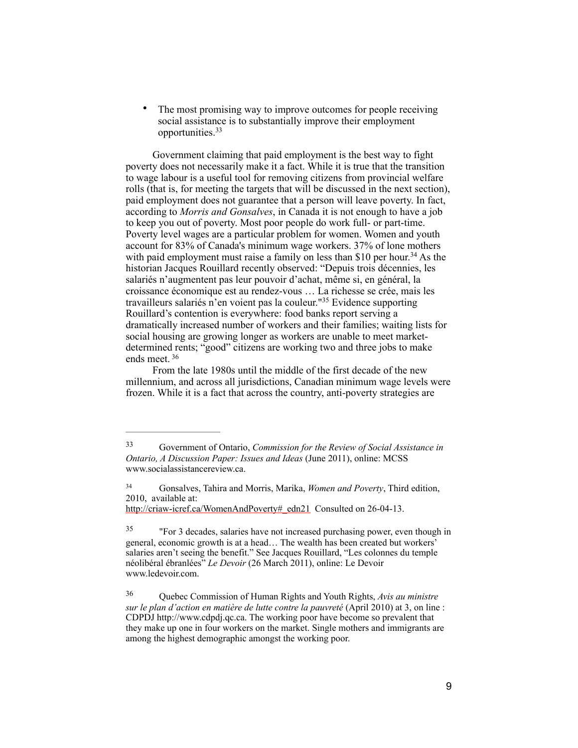The most promising way to improve outcomes for people receiving social assistance is to substantially improve their employment opportunities.33

Government claiming that paid employment is the best way to fight poverty does not necessarily make it a fact. While it is true that the transition to wage labour is a useful tool for removing citizens from provincial welfare rolls (that is, for meeting the targets that will be discussed in the next section), paid employment does not guarantee that a person will leave poverty. In fact, according to *Morris and Gonsalves*, in Canada it is not enough to have a job to keep you out of poverty. Most poor people do work full- or part-time. Poverty level wages are a particular problem for women. Women and youth account for 83% of Canada's minimum wage workers. 37% of lone mothers with paid employment must raise a family on less than \$10 per hour.<sup>34</sup> As the historian Jacques Rouillard recently observed: "Depuis trois décennies, les salariés n'augmentent pas leur pouvoir d'achat, même si, en général, la croissance économique est au rendez-vous … La richesse se crée, mais les travailleurs salariés n'en voient pas la couleur."<sup>35</sup> Evidence supporting Rouillard's contention is everywhere: food banks report serving a dramatically increased number of workers and their families; waiting lists for social housing are growing longer as workers are unable to meet marketdetermined rents; "good" citizens are working two and three jobs to make ends meet. 36

From the late 1980s until the middle of the first decade of the new millennium, and across all jurisdictions, Canadian minimum wage levels were frozen. While it is a fact that across the country, anti-poverty strategies are

http://criaw-icref.ca/WomenAndPoverty# edn21 Consulted on 26-04-13.

Government of Ontario, *Commission for the Review of Social Assistance in* <sup>33</sup> *Ontario, A Discussion Paper: Issues and Ideas* (June 2011), online: MCSS www.socialassistancereview.ca.

Gonsalves, Tahira and Morris, Marika, *Women and Poverty*, Third edition, 34 2010, available at:

<sup>&</sup>lt;sup>35</sup> "For 3 decades, salaries have not increased purchasing power, even though in general, economic growth is at a head… The wealth has been created but workers' salaries aren't seeing the benefit." See Jacques Rouillard, "Les colonnes du temple néolibéral ébranlées" *Le Devoir* (26 March 2011), online: Le Devoir www.ledevoir.com.

Quebec Commission of Human Rights and Youth Rights, *Avis au ministre* <sup>36</sup> *sur le plan d'action en matière de lutte contre la pauvreté* (April 2010) at 3, on line : CDPDJ [http://www.cdpdj.qc.ca](http://www.cdpdj.qc.ca/). The working poor have become so prevalent that they make up one in four workers on the market. Single mothers and immigrants are among the highest demographic amongst the working poor.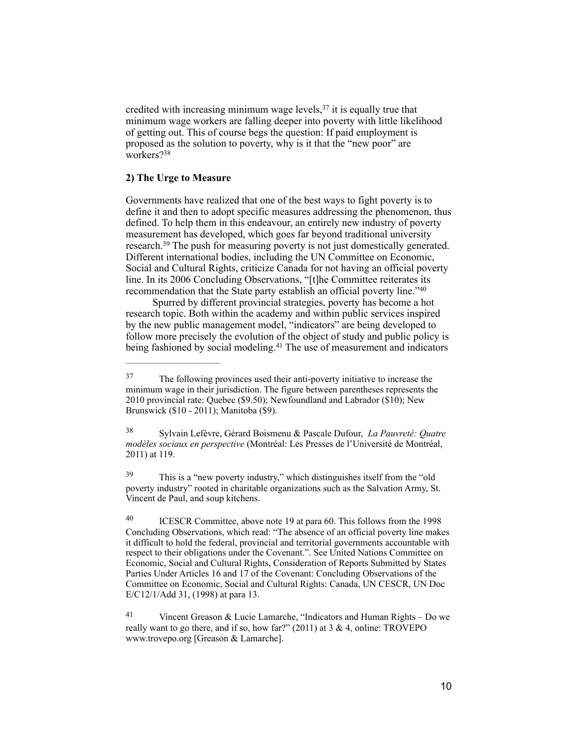credited with increasing minimum wage levels,  $37$  it is equally true that minimum wage workers are falling deeper into poverty with little likelihood of getting out. This of course begs the question: If paid employment is proposed as the solution to poverty, why is it that the "new poor" are workers?<sup>38</sup>

# **2) The Urge to Measure**

Governments have realized that one of the best ways to fight poverty is to define it and then to adopt specific measures addressing the phenomenon, thus defined. To help them in this endeavour, an entirely new industry of poverty measurement has developed, which goes far beyond traditional university research.<sup>39</sup> The push for measuring poverty is not just domestically generated. Different international bodies, including the UN Committee on Economic, Social and Cultural Rights, criticize Canada for not having an official poverty line. In its 2006 Concluding Observations, "[t]he Committee reiterates its recommendation that the State party establish an official poverty line."<sup>40</sup>

Spurred by different provincial strategies, poverty has become a hot research topic. Both within the academy and within public services inspired by the new public management model, "indicators" are being developed to follow more precisely the evolution of the object of study and public policy is being fashioned by social modeling.<sup>41</sup> The use of measurement and indicators

 This is a "new poverty industry," which distinguishes itself from the "old 39 poverty industry" rooted in charitable organizations such as the Salvation Army, St. Vincent de Paul, and soup kitchens.

<sup>&</sup>lt;sup>37</sup> The following provinces used their anti-poverty initiative to increase the minimum wage in their jurisdiction. The figure between parentheses represents the 2010 provincial rate: Quebec (\$9.50); Newfoundland and Labrador (\$10); New Brunswick (\$10 - 2011); Manitoba (\$9).

Sylvain Lefèvre, Gérard Boismenu & Pascale Dufour, *La Pauvreté: Quatre* <sup>38</sup> *modèles sociaux en perspective* (Montréal: Les Presses de l'Université de Montréal, 2011) at 119.

<sup>&</sup>lt;sup>40</sup> ICESCR Committee, above note 19 at para 60. This follows from the 1998 Concluding Observations, which read: "The absence of an official poverty line makes it difficult to hold the federal, provincial and territorial governments accountable with respect to their obligations under the Covenant.". See United Nations Committee on Economic, Social and Cultural Rights, Consideration of Reports Submitted by States Parties Under Articles 16 and 17 of the Covenant: Concluding Observations of the Committee on Economic, Social and Cultural Rights: Canada, UN CESCR, UN Doc E/C12/1/Add 31, (1998) at para 13.

<sup>&</sup>lt;sup>41</sup> Vincent Greason & Lucie Lamarche, "Indicators and Human Rights – Do we really want to go there, and if so, how far?" (2011) at 3 & 4, online: TROVEPO www.trovepo.org [Greason & Lamarche].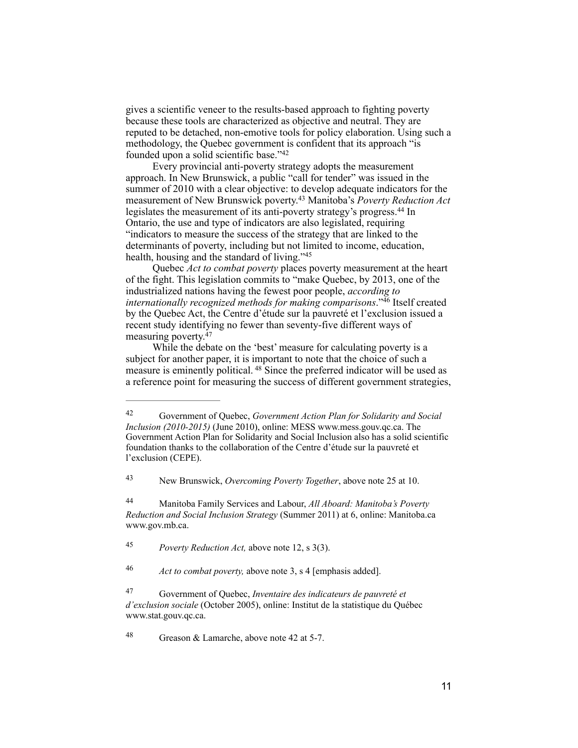gives a scientific veneer to the results-based approach to fighting poverty because these tools are characterized as objective and neutral. They are reputed to be detached, non-emotive tools for policy elaboration. Using such a methodology, the Quebec government is confident that its approach "is founded upon a solid scientific base."42

Every provincial anti-poverty strategy adopts the measurement approach. In New Brunswick, a public "call for tender" was issued in the summer of 2010 with a clear objective: to develop adequate indicators for the measurement of New Brunswick poverty.<sup>43</sup> Manitoba's *Poverty Reduction Act* legislates the measurement of its anti-poverty strategy's progress.<sup>44</sup> In Ontario, the use and type of indicators are also legislated, requiring "indicators to measure the success of the strategy that are linked to the determinants of poverty, including but not limited to income, education, health, housing and the standard of living."45

Quebec *Act to combat poverty* places poverty measurement at the heart of the fight. This legislation commits to "make Quebec, by 2013, one of the industrialized nations having the fewest poor people, *according to*  internationally recognized methods for making comparisons."<sup>46</sup> Itself created by the Quebec Act, the Centre d'étude sur la pauvreté et l'exclusion issued a recent study identifying no fewer than seventy-five different ways of measuring poverty.<sup>47</sup>

While the debate on the 'best' measure for calculating poverty is a subject for another paper, it is important to note that the choice of such a measure is eminently political.  $48 \text{ Since the preferred indicator will be used as}$ a reference point for measuring the success of different government strategies,

New Brunswick, *Overcoming Poverty Together*, above note 25 at 10. <sup>43</sup>

 Manitoba Family Services and Labour, *All Aboard: Manitoba's Poverty* <sup>44</sup> *Reduction and Social Inclusion Strategy* (Summer 2011) at 6, online: Manitoba.ca www.gov.mb.ca.

*Poverty Reduction Act,* above note 12, s 3(3). 45

<sup>48</sup> Greason & Lamarche, above note 42 at 5-7.

Government of Quebec, *Government Action Plan for Solidarity and Social* <sup>42</sup> *Inclusion (2010-2015)* (June 2010), online: MESS www.mess.gouv.qc.ca. The Government Action Plan for Solidarity and Social Inclusion also has a solid scientific foundation thanks to the collaboration of the Centre d'étude sur la pauvreté et l'exclusion (CEPE).

*Act to combat poverty,* above note 3, s 4 [emphasis added]. <sup>46</sup>

Government of Quebec, *Inventaire des indicateurs de pauvreté et* <sup>47</sup> *d'exclusion sociale* (October 2005), online: Institut de la statistique du Québec www.stat.gouv.qc.ca.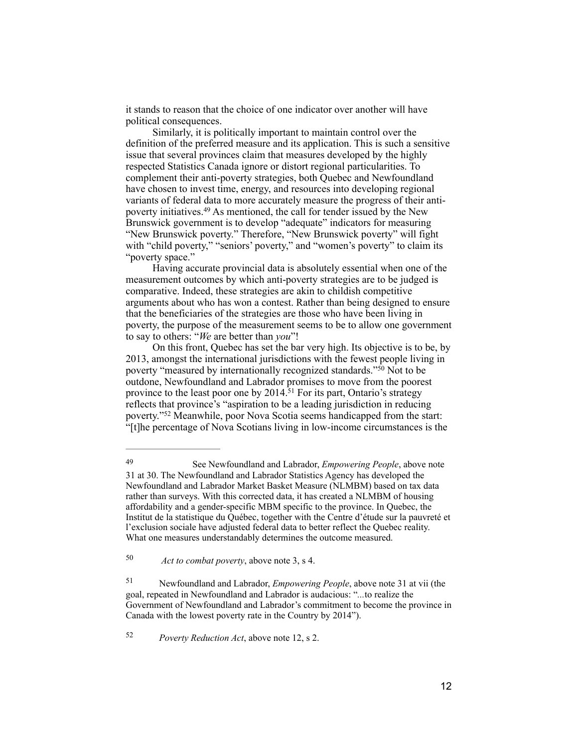it stands to reason that the choice of one indicator over another will have political consequences.

Similarly, it is politically important to maintain control over the definition of the preferred measure and its application. This is such a sensitive issue that several provinces claim that measures developed by the highly respected Statistics Canada ignore or distort regional particularities. To complement their anti-poverty strategies, both Quebec and Newfoundland have chosen to invest time, energy, and resources into developing regional variants of federal data to more accurately measure the progress of their antipoverty initiatives.<sup>49</sup> As mentioned, the call for tender issued by the New Brunswick government is to develop "adequate" indicators for measuring "New Brunswick poverty." Therefore, "New Brunswick poverty" will fight with "child poverty," "seniors' poverty," and "women's poverty" to claim its "poverty space."

Having accurate provincial data is absolutely essential when one of the measurement outcomes by which anti-poverty strategies are to be judged is comparative. Indeed, these strategies are akin to childish competitive arguments about who has won a contest. Rather than being designed to ensure that the beneficiaries of the strategies are those who have been living in poverty, the purpose of the measurement seems to be to allow one government to say to others: "*We* are better than *you*"!

On this front, Quebec has set the bar very high. Its objective is to be, by 2013, amongst the international jurisdictions with the fewest people living in poverty "measured by internationally recognized standards."<sup>50</sup> Not to be outdone, Newfoundland and Labrador promises to move from the poorest province to the least poor one by 2014.<sup>51</sup> For its part, Ontario's strategy reflects that province's "aspiration to be a leading jurisdiction in reducing poverty."<sup>52</sup> Meanwhile, poor Nova Scotia seems handicapped from the start: "[t]he percentage of Nova Scotians living in low-income circumstances is the

See Newfoundland and Labrador, *Empowering People*, above note 49 31 at 30. The Newfoundland and Labrador Statistics Agency has developed the Newfoundland and Labrador Market Basket Measure (NLMBM) based on tax data rather than surveys. With this corrected data, it has created a NLMBM of housing affordability and a gender-specific MBM specific to the province. In Quebec, the Institut de la statistique du Québec, together with the Centre d'étude sur la pauvreté et l'exclusion sociale have adjusted federal data to better reflect the Quebec reality. What one measures understandably determines the outcome measured.

<sup>&</sup>lt;sup>50</sup> *Act to combat poverty*, above note 3, s 4.

Newfoundland and Labrador, *Empowering People*, above note 31 at vii (the 51 goal, repeated in Newfoundland and Labrador is audacious: "*...*to realize the Government of Newfoundland and Labrador's commitment to become the province in Canada with the lowest poverty rate in the Country by 2014").

<sup>&</sup>lt;sup>52</sup> *Poverty Reduction Act*, above note 12, s 2.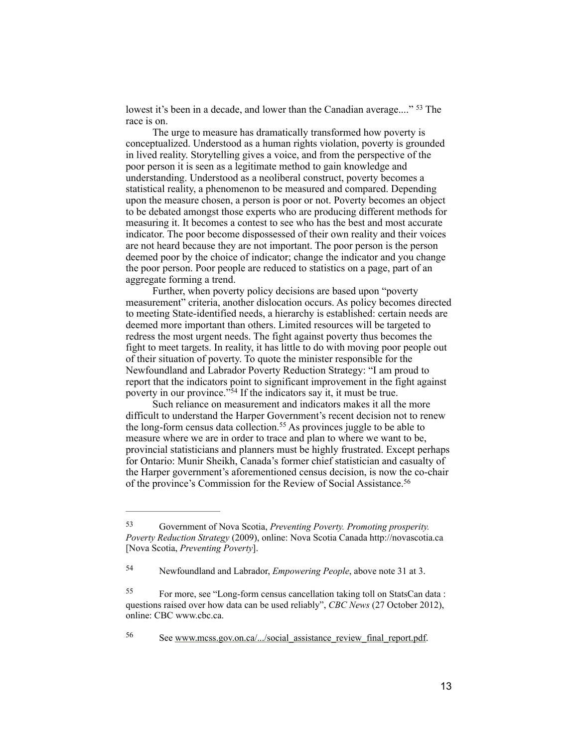lowest it's been in a decade, and lower than the Canadian average...." <sup>53</sup> The race is on.

The urge to measure has dramatically transformed how poverty is conceptualized. Understood as a human rights violation, poverty is grounded in lived reality. Storytelling gives a voice, and from the perspective of the poor person it is seen as a legitimate method to gain knowledge and understanding. Understood as a neoliberal construct, poverty becomes a statistical reality, a phenomenon to be measured and compared. Depending upon the measure chosen, a person is poor or not. Poverty becomes an object to be debated amongst those experts who are producing different methods for measuring it. It becomes a contest to see who has the best and most accurate indicator. The poor become dispossessed of their own reality and their voices are not heard because they are not important. The poor person is the person deemed poor by the choice of indicator; change the indicator and you change the poor person. Poor people are reduced to statistics on a page, part of an aggregate forming a trend.

Further, when poverty policy decisions are based upon "poverty measurement" criteria, another dislocation occurs. As policy becomes directed to meeting State-identified needs, a hierarchy is established: certain needs are deemed more important than others. Limited resources will be targeted to redress the most urgent needs. The fight against poverty thus becomes the fight to meet targets. In reality, it has little to do with moving poor people out of their situation of poverty. To quote the minister responsible for the Newfoundland and Labrador Poverty Reduction Strategy: "I am proud to report that the indicators point to significant improvement in the fight against poverty in our province."<sup>54</sup> If the indicators say it, it must be true.

Such reliance on measurement and indicators makes it all the more difficult to understand the Harper Government's recent decision not to renew the long-form census data collection.<sup>55</sup> As provinces juggle to be able to measure where we are in order to trace and plan to where we want to be, provincial statisticians and planners must be highly frustrated. Except perhaps for Ontario: Munir Sheikh, Canada's former chief statistician and casualty of the Harper government's aforementioned census decision, is now the co-chair of the province's Commission for the Review of Social Assistance. 56

56 See www.mcss.gov.on.ca/.../social assistance review final report.pdf.

Government of Nova Scotia, *Preventing Poverty. Promoting prosperity.* <sup>53</sup> *Poverty Reduction Strategy* (2009), online: Nova Scotia Canada <http://novascotia.ca> [Nova Scotia, *Preventing Poverty*].

<sup>&</sup>lt;sup>54</sup> Newfoundland and Labrador, *Empowering People*, above note 31 at 3.

For more, see "Long-form census cancellation taking toll on StatsCan data : 55 questions raised over how data can be used reliably", *CBC News* (27 October 2012), online: CBC www.cbc.ca.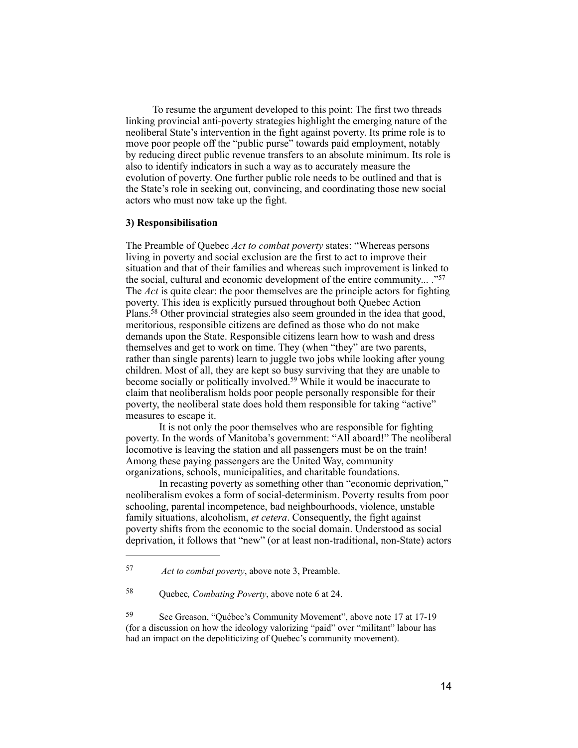To resume the argument developed to this point: The first two threads linking provincial anti-poverty strategies highlight the emerging nature of the neoliberal State's intervention in the fight against poverty. Its prime role is to move poor people off the "public purse" towards paid employment, notably by reducing direct public revenue transfers to an absolute minimum. Its role is also to identify indicators in such a way as to accurately measure the evolution of poverty. One further public role needs to be outlined and that is the State's role in seeking out, convincing, and coordinating those new social actors who must now take up the fight.

## **3) Responsibilisation**

The Preamble of Quebec *Act to combat poverty* states: "Whereas persons living in poverty and social exclusion are the first to act to improve their situation and that of their families and whereas such improvement is linked to the social, cultural and economic development of the entire community... ."57 The *Act* is quite clear: the poor themselves are the principle actors for fighting poverty. This idea is explicitly pursued throughout both Quebec Action Plans.<sup>58</sup> Other provincial strategies also seem grounded in the idea that good, meritorious, responsible citizens are defined as those who do not make demands upon the State. Responsible citizens learn how to wash and dress themselves and get to work on time. They (when "they" are two parents, rather than single parents) learn to juggle two jobs while looking after young children. Most of all, they are kept so busy surviving that they are unable to become socially or politically involved.<sup>59</sup> While it would be inaccurate to claim that neoliberalism holds poor people personally responsible for their poverty, the neoliberal state does hold them responsible for taking "active" measures to escape it.

It is not only the poor themselves who are responsible for fighting poverty. In the words of Manitoba's government: "All aboard!" The neoliberal locomotive is leaving the station and all passengers must be on the train! Among these paying passengers are the United Way, community organizations, schools, municipalities, and charitable foundations.

In recasting poverty as something other than "economic deprivation," neoliberalism evokes a form of social-determinism. Poverty results from poor schooling, parental incompetence, bad neighbourhoods, violence, unstable family situations, alcoholism, *et cetera*. Consequently, the fight against poverty shifts from the economic to the social domain. Understood as social deprivation, it follows that "new" (or at least non-traditional, non-State) actors

*Act to combat poverty*, above note 3, Preamble. <sup>57</sup>

Quebec*, Combating Poverty*, above note 6 at 24. 58

<sup>59</sup> See Greason, "Québec's Community Movement", above note 17 at 17-19 (for a discussion on how the ideology valorizing "paid" over "militant" labour has had an impact on the depoliticizing of Quebec's community movement).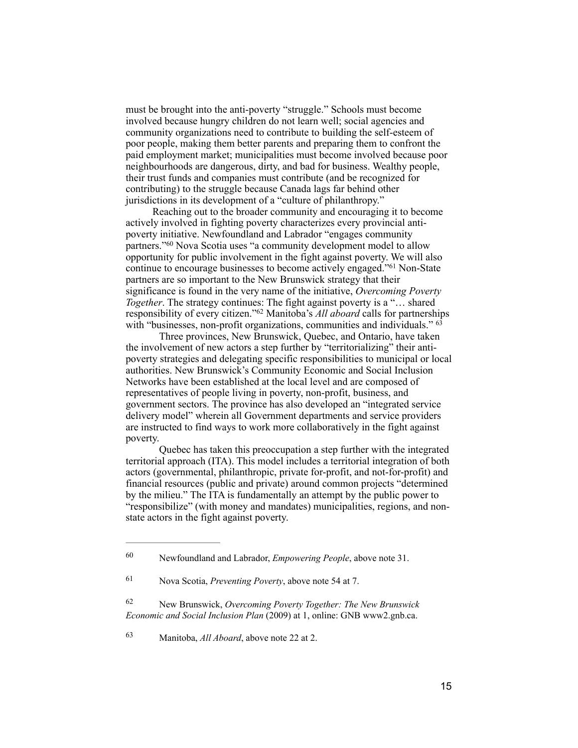must be brought into the anti-poverty "struggle." Schools must become involved because hungry children do not learn well; social agencies and community organizations need to contribute to building the self-esteem of poor people, making them better parents and preparing them to confront the paid employment market; municipalities must become involved because poor neighbourhoods are dangerous, dirty, and bad for business. Wealthy people, their trust funds and companies must contribute (and be recognized for contributing) to the struggle because Canada lags far behind other jurisdictions in its development of a "culture of philanthropy."

Reaching out to the broader community and encouraging it to become actively involved in fighting poverty characterizes every provincial antipoverty initiative. Newfoundland and Labrador "engages community partners."<sup>60</sup> Nova Scotia uses "a community development model to allow opportunity for public involvement in the fight against poverty. We will also continue to encourage businesses to become actively engaged."<sup>61</sup> Non-State partners are so important to the New Brunswick strategy that their significance is found in the very name of the initiative, *Overcoming Poverty Together*. The strategy continues: The fight against poverty is a "... shared responsibility of every citizen."<sup>62</sup> Manitoba's *All aboard* calls for partnerships with "businesses, non-profit organizations, communities and individuals." <sup>63</sup>

Three provinces, New Brunswick, Quebec, and Ontario, have taken the involvement of new actors a step further by "territorializing" their antipoverty strategies and delegating specific responsibilities to municipal or local authorities. New Brunswick's Community Economic and Social Inclusion Networks have been established at the local level and are composed of representatives of people living in poverty, non-profit, business, and government sectors. The province has also developed an "integrated service delivery model" wherein all Government departments and service providers are instructed to find ways to work more collaboratively in the fight against poverty.

Quebec has taken this preoccupation a step further with the integrated territorial approach (ITA). This model includes a territorial integration of both actors (governmental, philanthropic, private for-profit, and not-for-profit) and financial resources (public and private) around common projects "determined by the milieu." The ITA is fundamentally an attempt by the public power to "responsibilize" (with money and mandates) municipalities, regions, and nonstate actors in the fight against poverty.

Newfoundland and Labrador, *Empowering People*, above note 31. 60

Nova Scotia, *Preventing Poverty*, above note 54 at 7. <sup>61</sup>

New Brunswick, *Overcoming Poverty Together: The New Brunswick* <sup>62</sup> *Economic and Social Inclusion Plan* (2009) at 1, online: GNB www2.gnb.ca.

Manitoba, *All Aboard*, above note 22 at 2. 63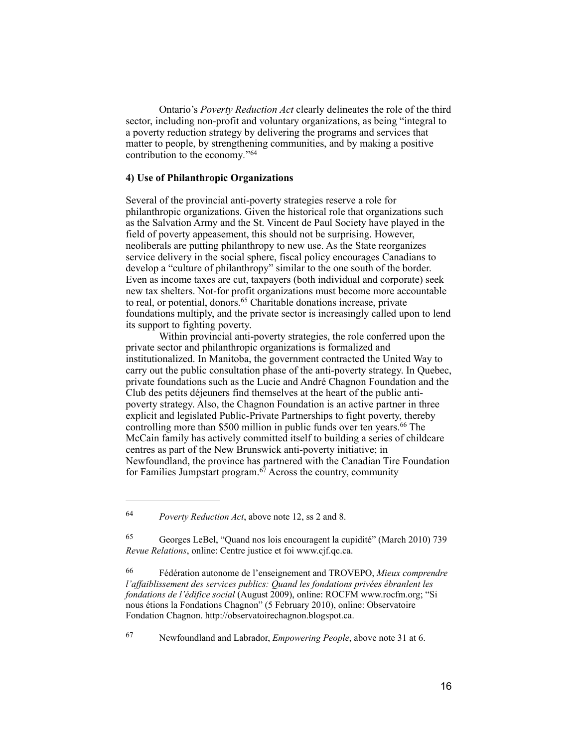Ontario's *Poverty Reduction Act* clearly delineates the role of the third sector, including non-profit and voluntary organizations, as being "integral to a poverty reduction strategy by delivering the programs and services that matter to people, by strengthening communities, and by making a positive contribution to the economy*.*"64

## **4) Use of Philanthropic Organizations**

Several of the provincial anti-poverty strategies reserve a role for philanthropic organizations. Given the historical role that organizations such as the Salvation Army and the St. Vincent de Paul Society have played in the field of poverty appeasement, this should not be surprising. However, neoliberals are putting philanthropy to new use. As the State reorganizes service delivery in the social sphere, fiscal policy encourages Canadians to develop a "culture of philanthropy" similar to the one south of the border. Even as income taxes are cut, taxpayers (both individual and corporate) seek new tax shelters. Not-for profit organizations must become more accountable to real, or potential, donors.<sup>65</sup> Charitable donations increase, private foundations multiply, and the private sector is increasingly called upon to lend its support to fighting poverty.

Within provincial anti-poverty strategies, the role conferred upon the private sector and philanthropic organizations is formalized and institutionalized. In Manitoba, the government contracted the United Way to carry out the public consultation phase of the anti-poverty strategy. In Quebec, private foundations such as the Lucie and André Chagnon Foundation and the Club des petits déjeuners find themselves at the heart of the public antipoverty strategy. Also, the Chagnon Foundation is an active partner in three explicit and legislated Public-Private Partnerships to fight poverty, thereby controlling more than \$500 million in public funds over ten years.<sup>66</sup> The McCain family has actively committed itself to building a series of childcare centres as part of the New Brunswick anti-poverty initiative; in Newfoundland, the province has partnered with the Canadian Tire Foundation for Families Jumpstart program. $67$  Across the country, community

<sup>&</sup>lt;sup>64</sup> Poverty Reduction Act, above note 12, ss 2 and 8.

 $^{65}$  Georges LeBel, "Quand nos lois encouragent la cupidité" (March 2010) 739 *Revue Relations*, online: Centre justice et foi www.cjf.qc.ca.

Fédération autonome de l'enseignement and TROVEPO, *Mieux comprendre* <sup>66</sup> *l'affaiblissement des services publics: Quand les fondations privées ébranlent les fondations de l'édifice social* (August 2009), online: ROCFM www.rocfm.org; "Si nous étions la Fondations Chagnon" (5 February 2010), online: Observatoire Fondation Chagnon. [http://observatoirechagnon.blogspot.ca.](http://observatoirechagnon.blogspot.ca/)

<sup>&</sup>lt;sup>67</sup> Newfoundland and Labrador, *Empowering People*, above note 31 at 6.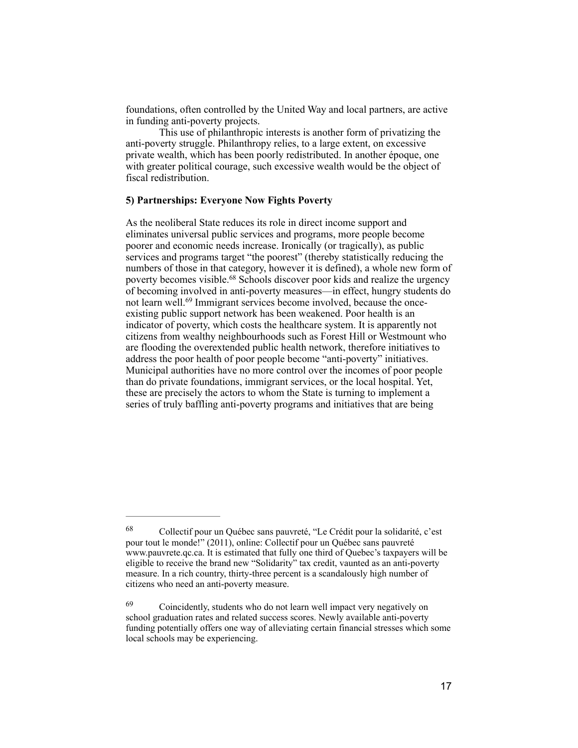foundations, often controlled by the United Way and local partners, are active in funding anti-poverty projects.

This use of philanthropic interests is another form of privatizing the anti-poverty struggle. Philanthropy relies, to a large extent, on excessive private wealth, which has been poorly redistributed. In another époque, one with greater political courage, such excessive wealth would be the object of fiscal redistribution.

## **5) Partnerships: Everyone Now Fights Poverty**

As the neoliberal State reduces its role in direct income support and eliminates universal public services and programs, more people become poorer and economic needs increase. Ironically (or tragically), as public services and programs target "the poorest" (thereby statistically reducing the numbers of those in that category, however it is defined), a whole new form of poverty becomes visible.<sup>68</sup> Schools discover poor kids and realize the urgency of becoming involved in anti-poverty measures—in effect, hungry students do not learn well.<sup>69</sup> Immigrant services become involved, because the onceexisting public support network has been weakened. Poor health is an indicator of poverty, which costs the healthcare system. It is apparently not citizens from wealthy neighbourhoods such as Forest Hill or Westmount who are flooding the overextended public health network, therefore initiatives to address the poor health of poor people become "anti-poverty" initiatives. Municipal authorities have no more control over the incomes of poor people than do private foundations, immigrant services, or the local hospital. Yet, these are precisely the actors to whom the State is turning to implement a series of truly baffling anti-poverty programs and initiatives that are being

 $68$  Collectif pour un Québec sans pauvreté, "Le Crédit pour la solidarité, c'est pour tout le monde!" (2011), online: Collectif pour un Québec sans pauvreté www.pauvrete.qc.ca. It is estimated that fully one third of Quebec's taxpayers will be eligible to receive the brand new "Solidarity" tax credit, vaunted as an anti-poverty measure. In a rich country, thirty-three percent is a scandalously high number of citizens who need an anti-poverty measure.

<sup>&</sup>lt;sup>69</sup> Coincidently, students who do not learn well impact very negatively on school graduation rates and related success scores. Newly available anti-poverty funding potentially offers one way of alleviating certain financial stresses which some local schools may be experiencing.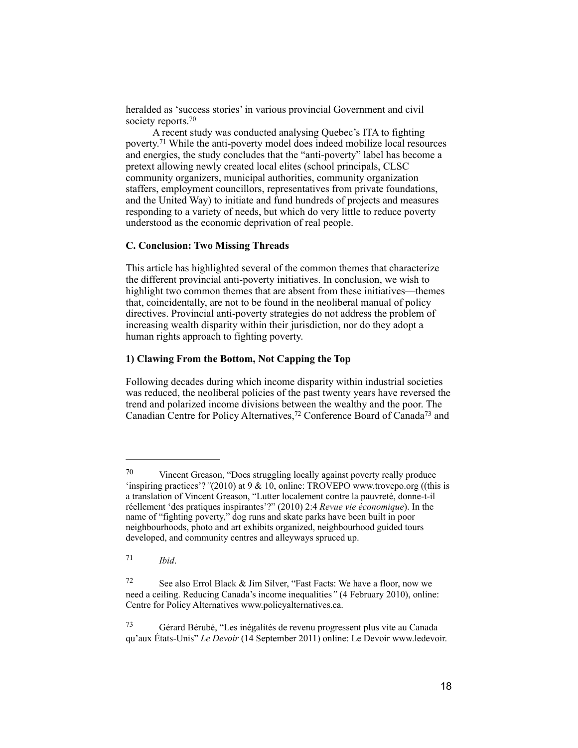heralded as 'success stories' in various provincial Government and civil society reports.<sup>70</sup>

A recent study was conducted analysing Quebec's ITA to fighting poverty.<sup> $71$ </sup> While the anti-poverty model does indeed mobilize local resources and energies, the study concludes that the "anti-poverty" label has become a pretext allowing newly created local elites (school principals, CLSC community organizers, municipal authorities, community organization staffers, employment councillors, representatives from private foundations, and the United Way) to initiate and fund hundreds of projects and measures responding to a variety of needs, but which do very little to reduce poverty understood as the economic deprivation of real people.

## **C. Conclusion: Two Missing Threads**

This article has highlighted several of the common themes that characterize the different provincial anti-poverty initiatives. In conclusion, we wish to highlight two common themes that are absent from these initiatives—themes that, coincidentally, are not to be found in the neoliberal manual of policy directives. Provincial anti-poverty strategies do not address the problem of increasing wealth disparity within their jurisdiction, nor do they adopt a human rights approach to fighting poverty.

#### **1) Clawing From the Bottom, Not Capping the Top**

Following decades during which income disparity within industrial societies was reduced, the neoliberal policies of the past twenty years have reversed the trend and polarized income divisions between the wealthy and the poor. The Canadian Centre for Policy Alternatives,<sup>72</sup> Conference Board of Canada<sup>73</sup> and

Vincent Greason, "Does struggling locally against poverty really produce 70 'inspiring practices'?*"*(2010) at 9 & 10, online: TROVEPO www.trovepo.org ((this is a translation of Vincent Greason, "Lutter localement contre la pauvreté, donne-t-il réellement 'des pratiques inspirantes'?" (2010) 2:4 *Revue vie économique*). In the name of "fighting poverty," dog runs and skate parks have been built in poor neighbourhoods, photo and art exhibits organized, neighbourhood guided tours developed, and community centres and alleyways spruced up.

*Ibid*. 71

 $\frac{72}{2}$  See also Errol Black & Jim Silver, "Fast Facts: We have a floor, now we need a ceiling. Reducing Canada's income inequalities*"* (4 February 2010), online: Centre for Policy Alternatives www.policyalternatives.ca.

Gérard Bérubé, "Les inégalités de revenu progressent plus vite au Canada 73 qu'aux États-Unis" *Le Devoir* (14 September 2011) online: Le Devoir www.ledevoir.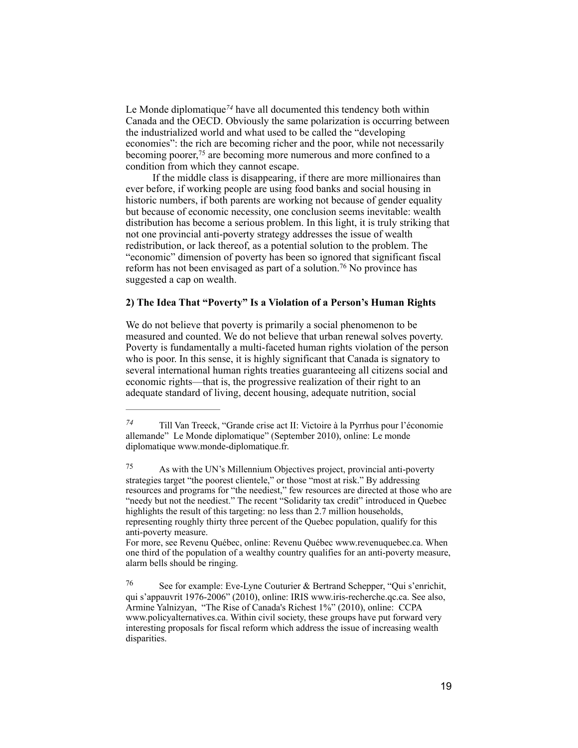Le Monde diplomatique<sup> $74$ </sup> have all documented this tendency both within Canada and the OECD. Obviously the same polarization is occurring between the industrialized world and what used to be called the "developing economies": the rich are becoming richer and the poor, while not necessarily becoming poorer, $75$  are becoming more numerous and more confined to a condition from which they cannot escape.

If the middle class is disappearing, if there are more millionaires than ever before, if working people are using food banks and social housing in historic numbers, if both parents are working not because of gender equality but because of economic necessity, one conclusion seems inevitable: wealth distribution has become a serious problem. In this light, it is truly striking that not one provincial anti-poverty strategy addresses the issue of wealth redistribution, or lack thereof, as a potential solution to the problem. The "economic" dimension of poverty has been so ignored that significant fiscal reform has not been envisaged as part of a solution.<sup>76</sup> No province has suggested a cap on wealth.

# **2) The Idea That "Poverty" Is a Violation of a Person's Human Rights**

We do not believe that poverty is primarily a social phenomenon to be measured and counted. We do not believe that urban renewal solves poverty. Poverty is fundamentally a multi-faceted human rights violation of the person who is poor. In this sense, it is highly significant that Canada is signatory to several international human rights treaties guaranteeing all citizens social and economic rights—that is, the progressive realization of their right to an adequate standard of living, decent housing, adequate nutrition, social

Till Van Treeck, "Grande crise act II: Victoire à la Pyrrhus pour l'économie *<sup>74</sup>* allemande" Le Monde diplomatique" (September 2010), online: Le monde diplomatique www.monde-diplomatique.fr.

As with the UN's Millennium Objectives project, provincial anti-poverty 75 strategies target "the poorest clientele," or those "most at risk." By addressing resources and programs for "the neediest," few resources are directed at those who are "needy but not the neediest." The recent "Solidarity tax credit" introduced in Quebec highlights the result of this targeting: no less than 2.7 million households, representing roughly thirty three percent of the Quebec population, qualify for this anti-poverty measure.

For more, see Revenu Québec, online: Revenu Québec www.revenuquebec.ca. When one third of the population of a wealthy country qualifies for an anti-poverty measure, alarm bells should be ringing.

 $\frac{76}{20}$  See for example: Eve-Lyne Couturier & Bertrand Schepper, "Qui s'enrichit, qui s'appauvrit 1976-2006" (2010), online: IRIS [www.iris-recherche.qc.ca](http://www.iris-recherche.qc.ca). See also, Armine Yalnizyan, "The Rise of Canada's Richest 1%" (2010), online: CCPA [www.policyalternatives.ca](http://www.policyalternatives.ca/). Within civil society, these groups have put forward very interesting proposals for fiscal reform which address the issue of increasing wealth disparities.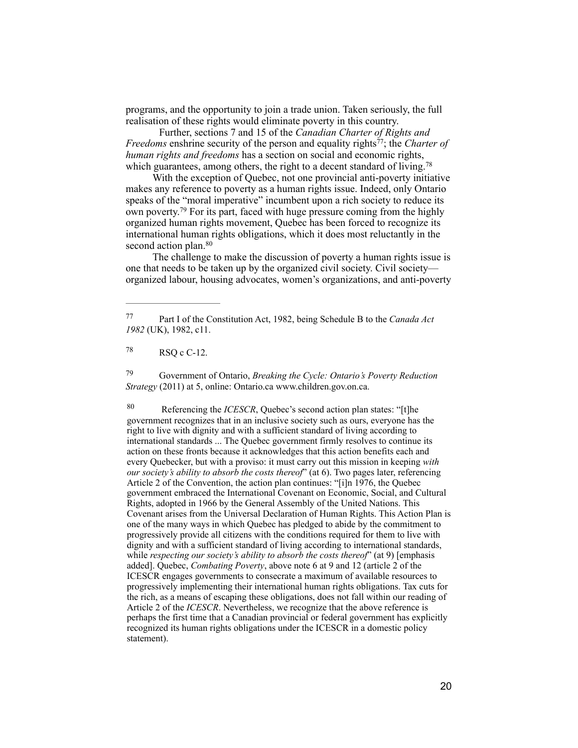programs, and the opportunity to join a trade union. Taken seriously, the full realisation of these rights would eliminate poverty in this country.

Further, sections 7 and 15 of the *Canadian Charter of Rights and Freedoms* enshrine security of the person and equality rights<sup>77</sup>; the *Charter of human rights and freedoms* has a section on social and economic rights, which guarantees, among others, the right to a decent standard of living.<sup>78</sup>

 With the exception of Quebec, not one provincial anti-poverty initiative makes any reference to poverty as a human rights issue. Indeed, only Ontario speaks of the "moral imperative" incumbent upon a rich society to reduce its own poverty.<sup>79</sup> For its part, faced with huge pressure coming from the highly organized human rights movement, Quebec has been forced to recognize its international human rights obligations, which it does most reluctantly in the second action plan.<sup>80</sup>

 The challenge to make the discussion of poverty a human rights issue is one that needs to be taken up by the organized civil society. Civil society organized labour, housing advocates, women's organizations, and anti-poverty

 $^{78}$  RSQ c C-12.

 Government of Ontario, *Breaking the Cycle: Ontario's Poverty Reduction* <sup>79</sup> *Strategy* (2011) at 5, online: Ontario.ca [www.children.gov.on.ca](http://www.children.gov.on.ca).

 Referencing the *ICESCR*, Quebec's second action plan states: "[t]he 80 government recognizes that in an inclusive society such as ours, everyone has the right to live with dignity and with a sufficient standard of living according to international standards ... The Quebec government firmly resolves to continue its action on these fronts because it acknowledges that this action benefits each and every Quebecker, but with a proviso: it must carry out this mission in keeping *with our society's ability to absorb the costs thereof*" (at 6). Two pages later, referencing Article 2 of the Convention, the action plan continues: "[i]n 1976, the Quebec government embraced the International Covenant on Economic, Social, and Cultural Rights, adopted in 1966 by the General Assembly of the United Nations. This Covenant arises from the Universal Declaration of Human Rights. This Action Plan is one of the many ways in which Quebec has pledged to abide by the commitment to progressively provide all citizens with the conditions required for them to live with dignity and with a sufficient standard of living according to international standards, while *respecting our society's ability to absorb the costs thereof*" (at 9) [emphasis added]. Quebec, *Combating Poverty*, above note 6 at 9 and 12 (article 2 of the ICESCR engages governments to consecrate a maximum of available resources to progressively implementing their international human rights obligations. Tax cuts for the rich, as a means of escaping these obligations, does not fall within our reading of Article 2 of the *ICESCR*. Nevertheless, we recognize that the above reference is perhaps the first time that a Canadian provincial or federal government has explicitly recognized its human rights obligations under the ICESCR in a domestic policy statement).

Part I of the Constitution Act, 1982, being Schedule B to the *Canada Act* <sup>77</sup> *1982* (UK), 1982, c11.